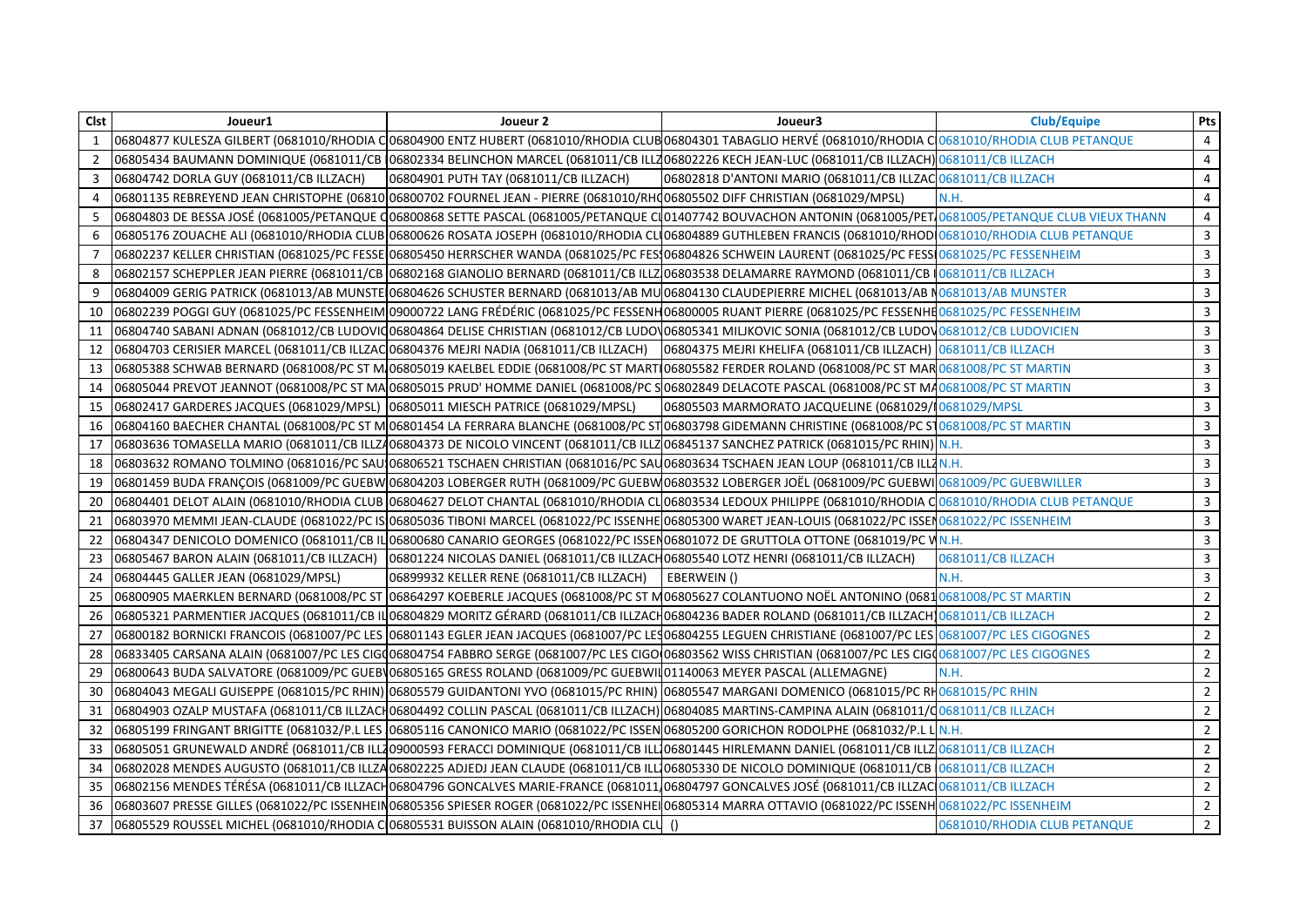| <b>Clst</b> | Joueur1                                                                                                                      | Joueur 2                                                                                                            | Joueur3                                                                                                                                                                             | <b>Club/Equipe</b>           | Pts                     |
|-------------|------------------------------------------------------------------------------------------------------------------------------|---------------------------------------------------------------------------------------------------------------------|-------------------------------------------------------------------------------------------------------------------------------------------------------------------------------------|------------------------------|-------------------------|
|             |                                                                                                                              |                                                                                                                     | 06804877 KULESZA GILBERT (0681010/RHODIA CO6804900 ENTZ HUBERT (0681010/RHODIA CLUBO6804301 TABAGLIO HERVÉ (0681010/RHODIA CO081010/RHODIA CLUB PETANQUE                            |                              | 4                       |
| 2           |                                                                                                                              |                                                                                                                     | 06805434 BAUMANN DOMINIQUE (0681011/CB (06802334 BELINCHON MARCEL (0681011/CB ILL706802226 KECH JEAN-LUC (0681011/CB ILLZACH) 0681011/CB ILLZACH                                    |                              | 4                       |
| 3           | 06804742 DORLA GUY (0681011/CB ILLZACH)                                                                                      | 06804901 PUTH TAY (0681011/CB ILLZACH)                                                                              | 06802818 D'ANTONI MARIO (0681011/CB ILLZAC 0681011/CB ILLZACH                                                                                                                       |                              | 4                       |
| 4           | O6801135 REBREYEND JEAN CHRISTOPHE (06810 06800702 FOURNEL JEAN - PIERRE (0681010/RHC 06805502 DIFF CHRISTIAN (0681029/MPSL) |                                                                                                                     |                                                                                                                                                                                     | N.H.                         | $\overline{4}$          |
| 5           |                                                                                                                              |                                                                                                                     | 06804803 DE BESSA JOSÉ (0681005/PETANQUE Q06800868 SETTE PASCAL (0681005/PETANQUE CI01407742 BOUVACHON ANTONIN (0681005/PET10681005/PETANQUE CLUB VIEUX THANN                       |                              | 4                       |
| 6           |                                                                                                                              |                                                                                                                     | 06805176 ZOUACHE ALI (0681010/RHODIA CLUB 06800626 ROSATA JOSEPH (0681010/RHODIA CLI06804889 GUTHLEBEN FRANCIS (0681010/RHOD 0681010/RHODIA CLUB PETANQUE                           |                              | $\mathbf{3}$            |
|             |                                                                                                                              |                                                                                                                     | 06802237 KELLER CHRISTIAN (0681025/PC FESSE 06805450 HERRSCHER WANDA (0681025/PC FES 06804826 SCHWEIN LAURENT (0681025/PC FESS 0681025/PC FESSENHEIM                                |                              | $\mathbf{3}$            |
| 8           |                                                                                                                              |                                                                                                                     | 06802157 SCHEPPLER JEAN PIERRE (0681011/CB 06802168 GIANOLIO BERNARD (0681011/CB ILLZ 06803538 DELAMARRE RAYMOND (0681011/CB 10681011/CB ILLZACH                                    |                              | 3                       |
| 9           |                                                                                                                              |                                                                                                                     | 06804009 GERIG PATRICK (0681013/AB MUNSTE 06804626 SCHUSTER BERNARD (0681013/AB MU 06804130 CLAUDEPIERRE MICHEL (0681013/AB N0681013/AB MUNSTER                                     |                              | $\mathbf{3}$            |
| 10          |                                                                                                                              |                                                                                                                     | 06802239 POGGI GUY (0681025/PC FESSENHEIM 09000722 LANG FRÉDÉRIC (0681025/PC FESSENH06800005 RUANT PIERRE (0681025/PC FESSENHE0681025/PC FESSENHEIM                                 |                              | $\overline{\mathbf{3}}$ |
| 11          |                                                                                                                              |                                                                                                                     | 06804740 SABANI ADNAN (0681012/CB LUDOVIQ06804864 DELISE CHRISTIAN (0681012/CB LUDOV06805341 MILJKOVIC SONIA (0681012/CB LUDOV0681012/CB LUDOVICIEN                                 |                              | 3                       |
| 12          |                                                                                                                              |                                                                                                                     | 06804703 CERISIER MARCEL (0681011/CB ILLZAC 06804376 MEJRI NADIA (0681011/CB ILLZACH)  06804375 MEJRI KHELIFA (0681011/CB ILLZACH)  0681011/CB ILLZACH                              |                              | $\mathbf{3}$            |
| 13          |                                                                                                                              |                                                                                                                     | 06805388 SCHWAB BERNARD (0681008/PC ST M 06805019 KAELBEL EDDIE (0681008/PC ST MART 06805582 FERDER ROLAND (0681008/PC ST MAR 0681008/PC ST MARTIN                                  |                              | $\overline{\mathbf{3}}$ |
| 14          |                                                                                                                              |                                                                                                                     | 06805044 PREVOT JEANNOT (0681008/PC ST MA 06805015 PRUD' HOMME DANIEL (0681008/PC S 06802849 DELACOTE PASCAL (0681008/PC ST MA0681008/PC ST MARTIN                                  |                              | $\mathbf{3}$            |
| 15          | 06802417 GARDERES JACQUES (0681029/MPSL) 06805011 MIESCH PATRICE (0681029/MPSL)                                              |                                                                                                                     | 06805503 MARMORATO JACQUELINE (0681029/10681029/MPSL                                                                                                                                |                              | $\mathbf{3}$            |
| 16          |                                                                                                                              |                                                                                                                     | 06804160 BAECHER CHANTAL (0681008/PC ST M 06801454 LA FERRARA BLANCHE (0681008/PC ST 06803798 GIDEMANN CHRISTINE (0681008/PC ST 0681008/PC ST 0681008/PC ST MARTIN                  |                              | $\overline{\mathbf{3}}$ |
| 17          |                                                                                                                              |                                                                                                                     | 06803636 TOMASELLA MARIO (0681011/CB ILLZ406804373 DE NICOLO VINCENT (0681011/CB ILLZ06845137 SANCHEZ PATRICK (0681015/PC RHIN) N.H.                                                |                              | $\mathbf{3}$            |
| 18          |                                                                                                                              |                                                                                                                     | 06803632 ROMANO TOLMINO (0681016/PC SAU 06806521 TSCHAEN CHRISTIAN (0681016/PC SAU 06803634 TSCHAEN JEAN LOUP (0681011/CB ILLZ N.H.                                                 |                              | $\mathbf{3}$            |
| 19          |                                                                                                                              |                                                                                                                     | 06801459 BUDA FRANÇOIS (0681009/PC GUEBW 06804203 LOBERGER RUTH (0681009/PC GUEBW 06803532 LOBERGER JOËL (0681009/PC GUEBWI  <mark>0681009/PC GUEBWILLER</mark>                     |                              | $\mathbf{3}$            |
| 20          |                                                                                                                              |                                                                                                                     | 06804401 DELOT ALAIN (0681010/RHODIA CLUB 06804627 DELOT CHANTAL (0681010/RHODIA CLO6803534 LEDOUX PHILIPPE (0681010/RHODIA CO681010/RHODIA CLUB PETANQUE                           |                              | $\mathbf{3}$            |
| 21          |                                                                                                                              |                                                                                                                     | 06803970 MEMMI JEAN-CLAUDE (0681022/PC ISI06805036 TIBONI MARCEL (0681022/PC ISSENHE 06805300 WARET JEAN-LOUIS (0681022/PC ISSEN 0681022/PC ISSENHEIM                               |                              | $\mathbf{3}$            |
| 22          |                                                                                                                              |                                                                                                                     | 06804347 DENICOLO DOMENICO (0681011/CB IL 06800680 CANARIO GEORGES (0681022/PC ISSEN06801072 DE GRUTTOLA OTTONE (0681019/PC VN.H.                                                   |                              | $\mathbf{3}$            |
| 23          | 06805467 BARON ALAIN (0681011/CB ILLZACH)                                                                                    | 06801224 NICOLAS DANIEL (0681011/CB ILLZACH06805540 LOTZ HENRI (0681011/CB ILLZACH)                                 |                                                                                                                                                                                     | 0681011/CB ILLZACH           | $\mathbf{3}$            |
| 24          | 06804445 GALLER JEAN (0681029/MPSL)                                                                                          | 06899932 KELLER RENE (0681011/CB ILLZACH)   EBERWEIN ()                                                             |                                                                                                                                                                                     | N.H.                         | $\mathbf{3}$            |
| 25          |                                                                                                                              |                                                                                                                     | 06800905 MAERKLEN BERNARD (0681008/PC ST 06864297 KOEBERLE JACQUES (0681008/PC ST M06805627 COLANTUONO NOËL ANTONINO (0681 <mark>06810681008/PC ST MARTIN</mark>                    |                              | $2^{\circ}$             |
| 26          |                                                                                                                              |                                                                                                                     | 06805321 PARMENTIER JACQUES (0681011/CB ILO6804829 MORITZ GÉRARD (0681011/CB ILLZACH06804236 BADER ROLAND (0681011/CB ILLZACH 0681011/CB ILLZACH                                    |                              | $2^{\circ}$             |
| 27          |                                                                                                                              |                                                                                                                     | 06800182 BORNICKI FRANCOIS (0681007/PC LES 06801143 EGLER JEAN JACQUES (0681007/PC LES06804255 LEGUEN CHRISTIANE (0681007/PC LES 0681007/PC LES CIGOGNES                            |                              | $2^{\circ}$             |
| 28          |                                                                                                                              |                                                                                                                     | 06833405 CARSANA ALAIN (0681007/PC LES CIGQ06804754 FABBRO SERGE (0681007/PC LES CIGO 06803562 WISS CHRISTIAN (0681007/PC LES CIGQ0681007/PC LES CIGQ0681007/PC LES CIGQGNES        |                              | $\overline{2}$          |
| 29          |                                                                                                                              | 06800643 BUDA SALVATORE (0681009/PC GUEB 06805165 GRESS ROLAND (0681009/PC GUEBWILO1140063 MEYER PASCAL (ALLEMAGNE) |                                                                                                                                                                                     | N.H.                         | $\overline{2}$          |
| 30          |                                                                                                                              |                                                                                                                     | 06804043 MEGALI GUISEPPE (0681015/PC RHIN) 06805579 GUIDANTONI YVO (0681015/PC RHIN) 06805547 MARGANI DOMENICO (0681015/PC RH0681015/PC RHIN                                        |                              | $2^{\circ}$             |
| 31          |                                                                                                                              |                                                                                                                     | 06804903 OZALP MUSTAFA (0681011/CB ILLZACH06804492 COLLIN PASCAL (0681011/CB ILLZACH) 06804085 MARTINS-CAMPINA ALAIN (0681011/C0681011/CB ILLZACH                                   |                              | $2^{\circ}$             |
| 32          |                                                                                                                              |                                                                                                                     | 06805199 FRINGANT BRIGITTE (0681032/P.L LES 06805116 CANONICO MARIO (0681022/PC ISSEN 06805200 GORICHON RODOLPHE (0681032/P.L L N.H.                                                |                              | $\overline{2}$          |
| 33          |                                                                                                                              |                                                                                                                     | 06805051 GRUNEWALD ANDRÉ (0681011/CB ILL709000593 FERACCI DOMINIQUE (0681011/CB ILL706801445 HIRLEMANN DANIEL (0681011/CB ILLZ0681011/CB ILLZACH                                    |                              | $\overline{2}$          |
| 34          |                                                                                                                              |                                                                                                                     | 06802028 MENDES AUGUSTO (0681011/CB ILLZA06802225 ADJEDJ JEAN CLAUDE (0681011/CB ILL106805330 DE NICOLO DOMINIQUE (0681011/CB 0681011/CB ILLZACH                                    |                              | $\mathbf{2}$            |
| 35          |                                                                                                                              |                                                                                                                     | 06802156 MENDES TÉRÉSA (0681011/CB ILLZACH06804796 GONCALVES MARIE-FRANCE (0681011)06804797 GONCALVES JOSÉ (0681011/CB ILLZACO0681011/CB ILLZACH                                    |                              | $2^{\circ}$             |
| 36          |                                                                                                                              |                                                                                                                     | 06803607 PRESSE GILLES (0681022/PC ISSENHEIN06805356 SPIESER ROGER (0681022/PC ISSENHEIO6805314 MARRA OTTAVIO (0681022/PC ISSENH <mark>0681022/PC ISSENH0681022/PC ISSENHEIM</mark> |                              | $\overline{2}$          |
| 37          | 06805529 ROUSSEL MICHEL (0681010/RHODIA C 06805531 BUISSON ALAIN (0681010/RHODIA CLU ()                                      |                                                                                                                     |                                                                                                                                                                                     | 0681010/RHODIA CLUB PETANQUE | $\overline{2}$          |